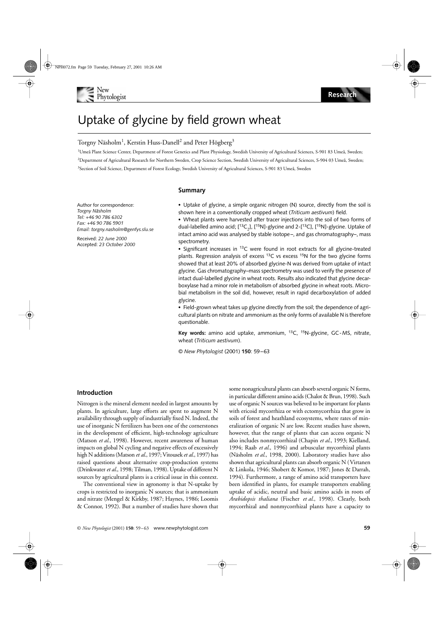

# Uptake of glycine by field grown wheat

## Torgny Näsholm $^1$ , Kerstin Huss-Danell $^2$  and Peter Högberg $^3$

1 Umeå Plant Science Center, Department of Forest Genetics and Plant Physiology, Swedish University of Agricultural Sciences, S-901 83 Umeå, Sweden; 2 Department of Agricultural Research for Northern Sweden, Crop Science Section, Swedish University of Agricultural Sciences, S-904 03 Umeå, Sweden; 3 Section of Soil Science, Department of Forest Ecology, Swedish University of Agricultural Sciences, S-901 83 Umeå, Sweden

#### **Summary**

Author for correspondence: *Torgny Näsholm Tel: +46 90 786 6302 Fax: +46 90 786 5901 Email: torgny.nasholm@genfys.slu.se*

Received: *22 June 2000* Accepted: *23 October 2000* **•** Uptake of glycine, a simple organic nitrogen (N) source, directly from the soil is shown here in a conventionally cropped wheat (*Triticum aestivum*) field.

**•** Wheat plants were harvested after tracer injections into the soil of two forms of dual-labelled amino acid;  $[^{13}C_2]$ ,  $[^{15}N]$ -glycine and 2- $[^{13}C]$ ,  $[^{15}N]$ -glycine. Uptake of intact amino acid was analysed by stable isotope–, and gas chromatography–, mass spectrometry.

**•** Significant increases in 13C were found in root extracts for all glycine-treated plants. Regression analysis of excess  $^{13}$ C vs excess  $^{15}N$  for the two glycine forms showed that at least 20% of absorbed glycine-N was derived from uptake of intact glycine. Gas chromatography–mass spectrometry was used to verify the presence of intact dual-labelled glycine in wheat roots. Results also indicated that glycine decarboxylase had a minor role in metabolism of absorbed glycine in wheat roots. Microbial metabolism in the soil did, however, result in rapid decarboxylation of added glycine.

**•** Field-grown wheat takes up glycine directly from the soil; the dependence of agricultural plants on nitrate and ammonium as the only forms of available N is therefore questionable.

**Key words:** amino acid uptake, ammonium, 13C, 15N-glycine, GC-MS, nitrate, wheat (*Triticum aestivum*).

© *New Phytologist* (2001) **150**: 59–63

## **Introduction**

Nitrogen is the mineral element needed in largest amounts by plants. In agriculture, large efforts are spent to augment N availability through supply of industrially fixed N. Indeed, the use of inorganic N fertilizers has been one of the cornerstones in the development of efficient, high-technology agriculture (Matson *et al.*, 1998). However, recent awareness of human impacts on global N cycling and negative effects of excessively high N additions (Matson *et al.*, 1997; Vitousek *et al.*, 1997) has raised questions about alternative crop-production systems (Drinkwater *et al.*, 1998; Tilman, 1998). Uptake of different N sources by agricultural plants is a critical issue in this context.

The conventional view in agronomy is that N-uptake by crops is restricted to inorganic N sources; that is ammonium and nitrate (Mengel & Kirkby, 1987; Haynes, 1986; Loomis & Connor, 1992). But a number of studies have shown that some nonagricultural plants can absorb several organic N forms, in particular different amino acids (Chalot & Brun, 1998). Such use of organic N sources was believed to be important for plants with ericoid mycorrhiza or with ectomycorrhiza that grow in soils of forest and heathland ecosystems, where rates of mineralization of organic N are low. Recent studies have shown, however, that the range of plants that can access organic N also includes nonmycorrhizal (Chapin *et al.*, 1993; Kielland, 1994; Raab *et al.*, 1996) and arbuscular mycorrhizal plants (Näsholm *et al.*, 1998, 2000). Laboratory studies have also shown that agricultural plants can absorb organic N (Virtanen & Linkola, 1946; Shobert & Komor, 1987; Jones & Darrah, 1994). Furthermore, a range of amino acid transporters have been identified in plants, for example transporters enabling uptake of acidic, neutral and basic amino acids in roots of *Arabidopsis thaliana* (Fischer *et al.*, 1998). Clearly, both mycorrhizal and nonmycorrhizal plants have a capacity to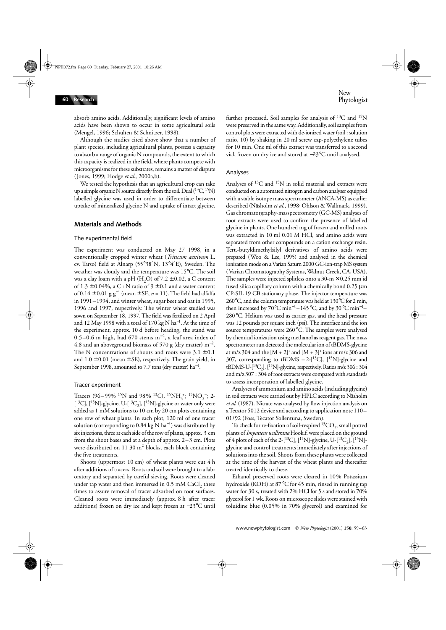absorb amino acids. Additionally, significant levels of amino acids have been shown to occur in some agricultural soils (Mengel, 1996; Schulten & Schnitzer, 1998).

Although the studies cited above show that a number of plant species, including agricultural plants, possess a capacity to absorb a range of organic N compounds, the extent to which this capacity is realized in the field, where plants compete with microorganisms for these substrates, remains a matter of dispute (Jones, 1999; Hodge *et al*., 2000a,b).

We tested the hypothesis that an agricultural crop can take up a simple organic N source directly from the soil. Dual  $(^{13}C, ^{15}N)$ labelled glycine was used in order to differentiate between uptake of mineralized glycine N and uptake of intact glycine.

### **Materials and Methods**

#### The experimental field

The experiment was conducted on May 27 1998, in a conventionally cropped winter wheat (*Triticum aestivum* L. cv. Tarso) field at Alnarp (55°38′N, 13°4′E), Sweden. The weather was cloudy and the temperature was 15°C. The soil was a clay loam with a pH (H<sub>2</sub>O) of  $7.2 \pm 0.02$ , a C content of  $1.3 \pm 0.04\%$ , a C : N ratio of  $9 \pm 0.1$  and a water content of 0.14 ± 0.01 g g<sup>−</sup><sup>1</sup> (mean ± SE, *n* = 11). The field had alfalfa in 1991–1994, and winter wheat, sugar beet and oat in 1995, 1996 and 1997, respectively. The winter wheat studied was sown on September 18, 1997. The field was fertilized on 2 April and 12 May 1998 with a total of 170 kg N ha<sup>-1</sup>. At the time of the experiment, approx. 10 d before heading, the stand was 0.5–0.6 m high, had 670 stems m<sup>−</sup>2, a leaf area index of 4.8 and an aboveground biomass of 570 g (dry matter)  $m^{-2}$ . The N concentrations of shoots and roots were  $3.1 \pm 0.1$ and  $1.0 \pm 0.01$  (mean  $\pm$  SE), respectively. The grain yield, in September 1998, amounted to 7.7 tons (dry matter) ha<sup>-1</sup>.

#### Tracer experiment

Tracers (96–99% <sup>15</sup>N and 98% <sup>13</sup>C), <sup>15</sup>NH<sub>4</sub><sup>+</sup>; <sup>15</sup>NO<sub>3</sub><sup>-</sup>; 2-[<sup>13</sup>C], [<sup>15</sup>N]-glycine, U-[<sup>13</sup>C<sub>2</sub>], [<sup>15</sup>N]-glycine or water only were added as 1 mM solutions to 10 cm by 20 cm plots containing one row of wheat plants. In each plot, 120 ml of one tracer solution (corresponding to 0.84 kg N ha<sup>−</sup><sup>1</sup> ) was distributed by six injections, three at each side of the row of plants, approx. 3 cm from the shoot bases and at a depth of approx. 2–3 cm. Plots were distributed on 11 30 m<sup>2</sup> blocks, each block containing the five treatments.

Shoots (uppermost 10 cm) of wheat plants were cut 4 h after additions of tracers. Roots and soil were brought to a laboratory and separated by careful sieving. Roots were cleaned under tap water and then immersed in  $0.5$  mM CaCl<sub>2</sub> three times to assure removal of tracer adsorbed on root surfaces. Cleaned roots were immediately (approx. 8 h after tracer additions) frozen on dry ice and kept frozen at −23°C until further processed. Soil samples for analysis of  $^{13}C$  and  $^{15}N$ were preserved in the same way. Additionally, soil samples from control plots were extracted with de-ionized water (soil : solution ratio, 10) by shaking in 20 ml screw cap-polyethylene tubes for 10 min. One ml of this extract was transferred to a second vial, frozen on dry ice and stored at −23°C until analysed.

#### Analyses

Analyses of  ${}^{13}C$  and  ${}^{15}N$  in solid material and extracts were conducted on a automated nitrogen and carbon analyser equipped with a stable isotope mass spectrometer (ANCA-MS) as earlier described (Näsholm *et al.*, 1998; Ohlson & Wallmark, 1999). Gas chromatorgraphy-masspectrometry (GC-MS) analyses of root extracts were used to confirm the presence of labelled glycine in plants. One hundred mg of frozen and milled roots was extracted in 10 ml 0.01 M HCl, and amino acids were separated from other compounds on a cation exchange resin. Tert.-butyldimethylsilyl derivatives of amino acids were prepared (Woo & Lee, 1995) and analysed in the chemical ionization mode on a Varian Saturn 2000 GC-ion-trap MS system (Varian Chromatography Systems, Walnut Creek, CA, USA). The samples were injected splitless onto a  $30-m \times 0.25$  mm id fused silica capillary column with a chemically bond 0.25 µm CP-SIL 19 CB stationary phase. The injector temperature was 260°C, and the column temperature was held at 130°C for 2 min, then increased by 70°C min<sup>-1</sup>–145°C, and by 30°C min<sup>-1</sup>– 280°C. Helium was used as carrier gas, and the head pressure was 12 pounds per square inch (psi). The interface and the ion source temperatures were 260°C. The samples were analysed by chemical ionization using methanol as reagent gas. The mass spectrometer run detected the molecular ion of tBDMS-glycine at m/z 304 and the  $[M + 2]^+$  and  $[M + 3]^+$  ions at m/z 306 and 307, corresponding to tBDMS  $-2-[$ <sup>13</sup>C], [<sup>15</sup>N]-glycine and tBDMS-U- $[^{13}C_2]$ ,  $[^{15}N]$ -glycine, respectively. Ratios m/z 306 : 304 and m/z 307 : 304 of root extracts were compared with standards to assess incorporation of labelled glycine.

Analyses of ammonium and amino acids (including glycine) in soil extracts were carried out by HPLC according to Näsholm *et al*. (1987). Nitrate was analysed by flow injection analysis on a Tecator 5012 device and according to application note 110– 01/92 (Foss, Tecator Sollentuna, Sweden).

To check for re-fixation of soil-respired  ${}^{13}CO_2$ , small potted plants of *Impatiens wallerana* Hook.f. were placed on the ground of 4 plots of each of the 2-[<sup>13</sup>C], [<sup>15</sup>N]-glycine, U-[<sup>13</sup>C<sub>2</sub>], [<sup>15</sup>N]glycine and control treatments immediately after injections of solutions into the soil. Shoots from these plants were collected at the time of the harvest of the wheat plants and thereafter treated identically to these.

Ethanol preserved roots were cleared in 10% Potassium hydroxide (KOH) at 87°C for 45 min, rinsed in running tap water for 30 s, treated with 2% HCl for 5 s and stored in 70% glycerol for 1 wk. Roots on microscope slides were stained with toluidine blue (0.05% in 70% glycerol) and examined for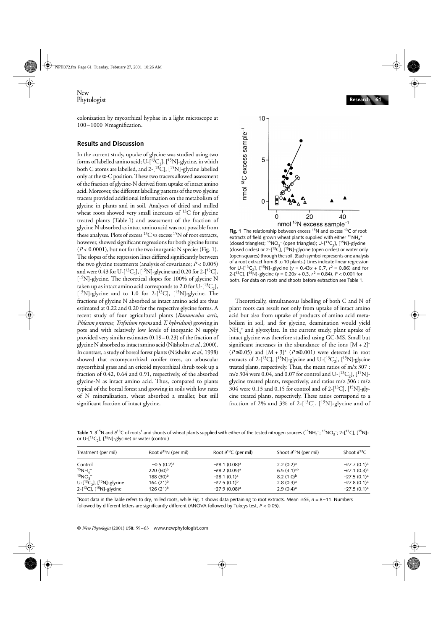colonization by mycorrhizal hyphae in a light microscope at  $100-1000 \times$  magnification.

## **Results and Discussion**

In the current study, uptake of glycine was studied using two forms of labelled amino acid;  $U$ - $[^{13}C_2]$ ,  $[^{15}N]$ -glycine, in which both C atoms are labelled, and 2-[13C], [15N]-glycine labelled only at the  $\alpha$ -C position. These two tracers allowed assessment of the fraction of glycine-N derived from uptake of intact amino acid. Moreover, the different labelling patterns of the two glycine tracers provided additional information on the metabolism of glycine in plants and in soil. Analyses of dried and milled wheat roots showed very small increases of  $^{13}C$  for glycine treated plants (Table 1) and assessment of the fraction of glycine N absorbed as intact amino acid was not possible from these analyses. Plots of excess  ${}^{13}C$  vs excess  ${}^{15}N$  of root extracts, however, showed significant regressions for both glycine forms  $(P < 0.0001)$ , but not for the two inorganic N species (Fig. 1). The slopes of the regression lines differed significantly between the two glycine treatments (analysis of covariance; *P* < 0.005) and were 0.43 for U-[ ${}^{13}C_2$ ], [ ${}^{15}N$ ]-glycine and 0.20 for 2-[ ${}^{13}C$ ], [<sup>15</sup>N]-glycine. The theoretical slopes for 100% of glycine N taken up as intact amino acid corresponds to 2.0 for U- $[^{13}C_2]$ ,  $[{}^{15}N]$ -glycine and to 1.0 for 2- $[{}^{13}C]$ ,  $[{}^{15}N]$ -glycine. The fractions of glycine N absorbed as intact amino acid are thus estimated at 0.22 and 0.20 for the respective glycine forms. A recent study of four agricultural plants (*Ranunculus acris*, *Phleum pratense*, *Trifoilum repens* and *T. hybridum*) growing in pots and with relatively low levels of inorganic N supply provided very similar estimates (0.19–0.23) of the fraction of glycine N absorbed as intact amino acid (Näsholm *et al*., 2000). In contrast, a study of boreal forest plants (Näsholm *et al.*, 1998) showed that ectomycorrhizal conifer trees, an arbuscular mycorrhizal grass and an ericoid mycorrhizal shrub took up a fraction of 0.42, 0.64 and 0.91, respectively, of the absorbed glycine-N as intact amino acid. Thus, compared to plants typical of the boreal forest and growing in soils with low rates of N mineralization, wheat absorbed a smaller, but still significant fraction of intact glycine.



Fig. 1 The relationship between excess <sup>15</sup>N and excess <sup>13</sup>C of root extracts of field grown wheat plants supplied with either  $^{15}NH_{4}^{+}$ (closed triangles);  ${}^{15}NO_3^-$  (open triangles); U- $[^{13}C_2]$ ,  $[^{15}N]$ -glycine (closed circles) or 2- $[^{13}C]$ ,  $[^{15}N]$ -glycine (open circles) or water only (open squares) through the soil. (Each symbol represents one analysis of a root extract from 8 to 10 plants.) Lines indicate linear regression for U- $[^{13}C_2]$ ,  $[^{15}N]$ -glycine ( $y = 0.43x + 0.7$ ,  $r^2 = 0.86$ ) and for 2-[13C], [15N]-glycine (*y* = 0.20*x* + 0.3, *r* 2 = 0.84), *P* < 0.001 for both. For data on roots and shoots before extraction see Table 1.

Theoretically, simultaneous labelling of both C and N of plant roots can result not only from uptake of intact amino acid but also from uptake of products of amino acid metabolism in soil, and for glycine, deamination would yield NH4 + and glyoxylate. In the current study, plant uptake of intact glycine was therefore studied using GC-MS. Small but significant increases in the abundance of the ions  $[M + 2]^+$  $(P \le 0.05)$  and  $[M + 3]^+$   $(P \le 0.001)$  were detected in root extracts of 2-[ $^{13}$ C], [ $^{15}$ N]-glycine and U-[ $^{13}$ C<sub>2</sub>], [ $^{15}$ N]-glycine treated plants, respectively. Thus, the mean ratios of m/z 307 : m/z 304 were 0.04, and 0.07 for control and U- $[^{13}C_2]$ ,  $[^{15}N]$ glycine treated plants, respectively, and ratios m/z 306 : m/z 304 were 0.13 and 0.15 for control and of 2- $[^{13}C]$ ,  $[^{15}N]$ -glycine treated plants, respectively. These ratios correspond to a fraction of 2% and 3% of 2- $[^{13}C]$ ,  $[^{15}N]$ -glycine and of

**Table 1** ∂<sup>15</sup>N and ∂<sup>13</sup>C of roots<sup>1</sup> and shoots of wheat plants supplied with either of the tested nitrogen sources (<sup>15</sup>NH<sub>4</sub>; <sup>15</sup>NO<sub>3</sub>; 2-[<sup>13</sup>C], [<sup>15</sup>N]or U- $[^{13}C_2]$ ,  $[^{15}N]$ -glycine) or water (control)

| Treatment (per mil)                        | Root $\partial^{15}N$ (per mil) | Root $\partial^{13}C$ (per mil) | Shoot $\partial^{15}N$ (per mil) | Shoot $\partial^{13}C$ |
|--------------------------------------------|---------------------------------|---------------------------------|----------------------------------|------------------------|
| Control                                    | $-0.5(0.2)^a$                   | $-28.1(0.08)^a$                 | $2.2(0.2)^a$                     | $-27.7(0.1)a$          |
| $15NH_{4}^{-}$                             | $220(60)^{b}$                   | $-28.2(0.05)^a$                 | 6.5 $(3.1)$ <sup>ab</sup>        | $-27.1(0.3)^a$         |
| $15NO_3^-$                                 | $188(30)^{b}$                   | $-28.1(0.1)^a$                  | 8.2 $(1.0)^b$                    | $-27.5(0.1)^a$         |
| U-[ ${}^{13}C_2$ ], [ ${}^{15}N$ ]-glycine | $164(21)^{b}$                   | $-27.5(0.1)^{b}$                | 2.8(0.3) <sup>a</sup>            | $-27.8(0.1)^a$         |
| 2-[ $13C$ ], [ $15N$ ]-glycine             | $126(21)^{b}$                   | $-27.9(0.08)^a$                 | $2.9(0.4)$ <sup>a</sup>          | $-27.5(0.1)a$          |

1Root data in the Table refers to dry, milled roots, while Fig. 1 shows data pertaining to root extracts. Mean  $\pm$  SE,  $n = 8 - 11$ . Numbers followed by different letters are significantly different (ANOVA followed by Tukeys test, *P* < 0.05).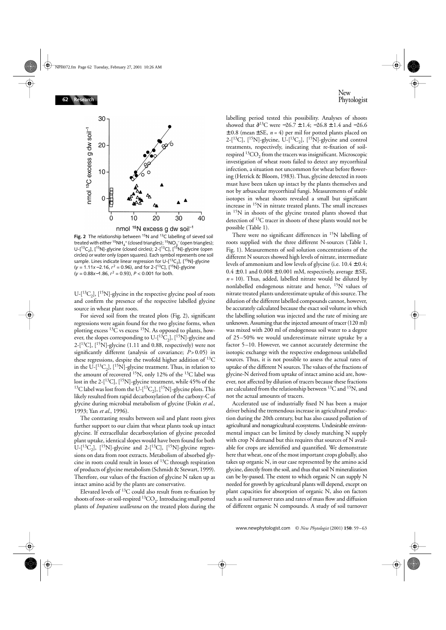

**Fig. 2** The relationship between <sup>15</sup>N and <sup>13</sup>C labelling of sieved soil treated with either <sup>15</sup>NH<sub>4</sub><sup>+</sup> (closed triangles); <sup>15</sup>NO<sub>3</sub><sup>-</sup> (open triangles); U- $[^{13}C_2]$ ,  $[^{15}N]$ -glycine (closed circles); 2- $[^{13}C]$ ,  $[^{15}N]$ -glycine (open circles) or water only (open squares). Each symbol represents one soil sample. Lines indicate linear regression for U- $[^{13}C_2]$ ,  $[^{15}N]$ -glycine (*y* = 1.11*x*−2.16, *r*<sup>2</sup> = 0.96), and for 2-[<sup>13</sup>C], [<sup>15</sup>N]-glycine (*y* = 0.88*x*−1.86, *r* 2 = 0.93), *P* < 0.001 for both.

 $U-[$ <sup>13</sup>C<sub>2</sub>], [<sup>15</sup>N]-glycine in the respective glycine pool of roots and confirm the presence of the respective labelled glycine source in wheat plant roots.

For sieved soil from the treated plots (Fig. 2), significant regressions were again found for the two glycine forms, when plotting excess  ${}^{13}C$  vs excess  ${}^{15}N$ . As opposed to plants, however, the slopes corresponding to U- $[^{13}C_2]$ ,  $[^{15}N]$ -glycine and  $2-[13C]$ ,  $[15N]$ -glycine (1.11 and 0.88, respectively) were not significantly different (analysis of covariance; *P*>0.05) in these regressions, despite the twofold higher addition of  $^{13}C$ in the U- $[^{13}C_2]$ ,  $[^{15}N]$ -glycine treatment. Thus, in relation to the amount of recovered <sup>15</sup>N, only 12% of the <sup>13</sup>C label was lost in the 2-[<sup>13</sup>C], [<sup>15</sup>N]-glycine treatment, while 45% of the <sup>13</sup>C label was lost from the U- $[^{13}C_2]$ ,  $[^{15}N]$ -glycine plots. This likely resulted from rapid decarboxylation of the carboxy-C of glycine during microbial metabolism of glycine (Fokin *et al.*, 1993; Yan *et al.*, 1996).

The contrasting results between soil and plant roots gives further support to our claim that wheat plants took up intact glycine. If extracellular decarboxylation of glycine preceded plant uptake, identical slopes would have been found for both U- $[{}^{13}C_2]$ ,  $[{}^{15}N]$ -glycine and 2- $[{}^{13}C]$ ,  $[{}^{15}N]$ -glycine regressions on data from root extracts. Metabolism of absorbed glycine in roots could result in losses of  $^{13}C$  through respiration of products of glycine metabolism (Schmidt & Stewart, 1999). Therefore, our values of the fraction of glycine N taken up as intact amino acid by the plants are conservative.

Elevated levels of  ${}^{13}C$  could also result from re-fixation by shoots of root- or soil-respired  ${}^{13}CO_{2}$ . Introducing small potted plants of *Impatiens wallerana* on the treated plots during the labelling period tested this possibility. Analyses of shoots showed that  $\partial^{13}C$  were −26.7 ± 1.4; −26.8 ± 1.4 and −26.6  $\pm$  0.8 (mean  $\pm$  SE, *n* = 4) per mil for potted plants placed on 2-[ ${}^{13}$ C], [ ${}^{15}$ N]-glycine, U-[ ${}^{13}$ C<sub>2</sub>], [ ${}^{15}$ N]-glycine and control treatments, respectively, indicating that re-fixation of soilrespired  ${}^{13}CO_2$  from the tracers was insignificant. Microscopic investigation of wheat roots failed to detect any mycorrhizal infection, a situation not uncommon for wheat before flowering (Hetrick & Bloom, 1983). Thus, glycine detected in roots must have been taken up intact by the plants themselves and not by arbuscular mycorrhizal fungi. Measurements of stable isotopes in wheat shoots revealed a small but significant increase in 15N in nitrate treated plants. The small increases in 15N in shoots of the glycine treated plants showed that detection of 13C tracer in shoots of these plants would not be possible (Table 1).

There were no significant differences in <sup>15</sup>N labelling of roots supplied with the three different N-sources (Table 1, Fig. 1). Measurements of soil solution concentrations of the different N sources showed high levels of nitrate, intermediate levels of ammonium and low levels of glycine (i.e.  $10.4 \pm 0.4$ ;  $0.4 \pm 0.1$  and  $0.008 \pm 0.001$  mM, respectively, average  $\pm$  SE,  $n = 10$ ). Thus, added, labelled nitrate would be diluted by nonlabelled endogenous nitrate and hence, 15N values of nitrate treated plants underestimate uptake of this source. The dilution of the different labelled compounds cannot, however, be accurately calculated because the exact soil volume in which the labelling solution was injected and the rate of mixing are unknown. Assuming that the injected amount of tracer (120 ml) was mixed with 200 ml of endogenous soil water to a degree of 25–50% we would underestimate nitrate uptake by a factor 5–10. However, we cannot accurately determine the isotopic exchange with the respective endogenous unlabelled sources. Thus, it is not possible to assess the actual rates of uptake of the different N sources. The values of the fractions of glycine-N derived from uptake of intact amino acid are, however, not affected by dilution of tracers because these fractions are calculated from the relationship between  ${}^{13}$ C and  ${}^{15}$ N, and not the actual amounts of tracers.

Accelerated use of industrially fixed N has been a major driver behind the tremendous increase in agricultural production during the 20th century, but has also caused pollution of agricultural and nonagricultural ecosystems. Undesirable environmental impact can be limited by closely matching N supply with crop N demand but this requires that sources of N available for crops are identified and quantified. We demonstrate here that wheat, one of the most important crops globally, also takes up organic N, in our case represented by the amino acid glycine, directly from the soil, and thus that soil N mineralization can be by-passed. The extent to which organic N can supply N needed for growth by agricultural plants will depend, except on plant capacities for absorption of organic N, also on factors such as soil turnover rates and rates of mass flow and diffusion of different organic N compounds. A study of soil turnover